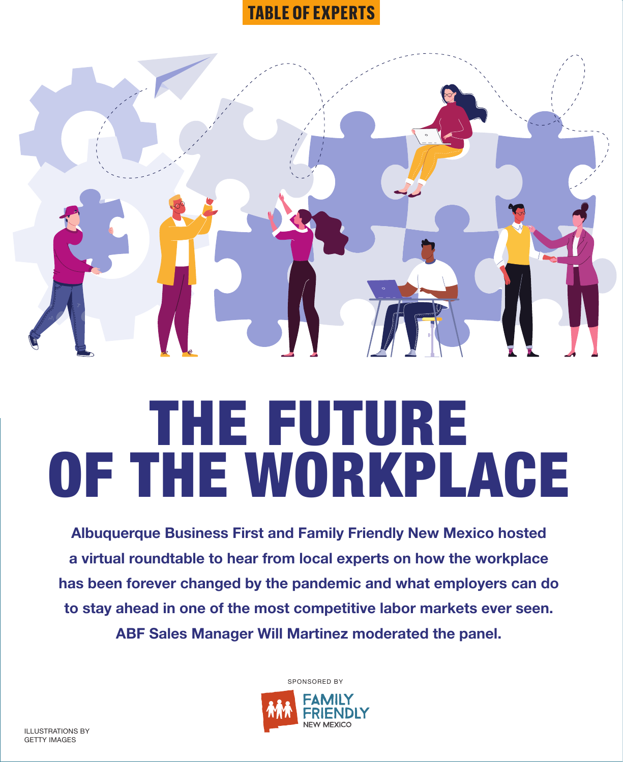# **TABLE OF EXPERTS**



# THE FUTURE OF THE WORKPLACE

**Albuquerque Business First and Family Friendly New Mexico hosted a virtual roundtable to hear from local experts on how the workplace has been forever changed by the pandemic and what employers can do to stay ahead in one of the most competitive labor markets ever seen. ABF Sales Manager Will Martinez moderated the panel.**



SPONSORED BY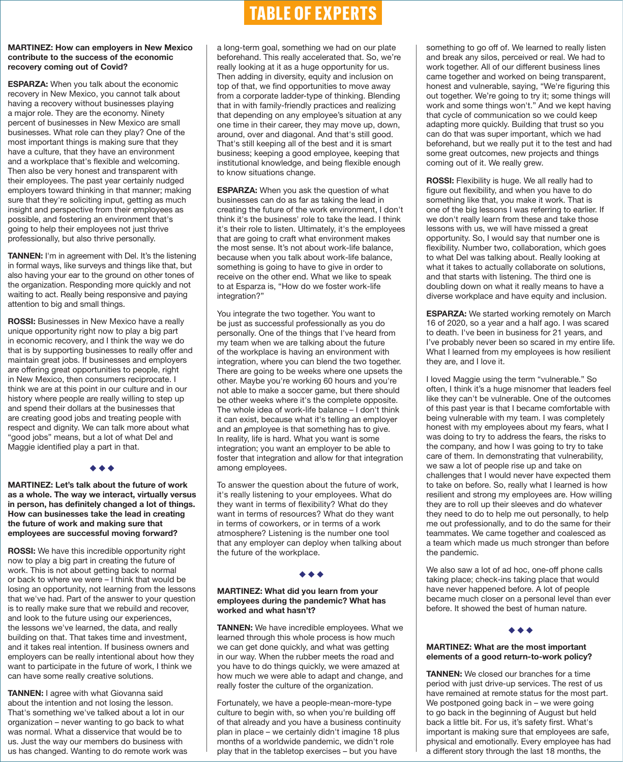## **MARTINEZ: How can employers in New Mexico contribute to the success of the economic recovery coming out of Covid?**

**ESPARZA:** When you talk about the economic recovery in New Mexico, you cannot talk about having a recovery without businesses playing a major role. They are the economy. Ninety percent of businesses in New Mexico are small businesses. What role can they play? One of the most important things is making sure that they have a culture, that they have an environment and a workplace that's flexible and welcoming. Then also be very honest and transparent with their employees. The past year certainly nudged employers toward thinking in that manner; making sure that they're soliciting input, getting as much insight and perspective from their employees as possible, and fostering an environment that's going to help their employees not just thrive professionally, but also thrive personally.

**TANNEN:** I'm in agreement with Del. It's the listening in formal ways, like surveys and things like that, but also having your ear to the ground on other tones of the organization. Responding more quickly and not waiting to act. Really being responsive and paying attention to big and small things.

**ROSSI:** Businesses in New Mexico have a really unique opportunity right now to play a big part in economic recovery, and I think the way we do that is by supporting businesses to really offer and maintain great jobs. If businesses and employers are offering great opportunities to people, right in New Mexico, then consumers reciprocate. I think we are at this point in our culture and in our history where people are really willing to step up and spend their dollars at the businesses that are creating good jobs and treating people with respect and dignity. We can talk more about what "good jobs" means, but a lot of what Del and Maggie identified play a part in that.

◆ ◆ ◆

# **MARTINEZ: Let's talk about the future of work as a whole. The way we interact, virtually versus in person, has definitely changed a lot of things. How can businesses take the lead in creating the future of work and making sure that employees are successful moving forward?**

**ROSSI:** We have this incredible opportunity right now to play a big part in creating the future of work. This is not about getting back to normal or back to where we were – I think that would be losing an opportunity, not learning from the lessons that we've had. Part of the answer to your question is to really make sure that we rebuild and recover, and look to the future using our experiences, the lessons we've learned, the data, and really building on that. That takes time and investment, and it takes real intention. If business owners and employers can be really intentional about how they want to participate in the future of work, I think we can have some really creative solutions.

**TANNEN:** I agree with what Giovanna said about the intention and not losing the lesson. That's something we've talked about a lot in our organization – never wanting to go back to what was normal. What a disservice that would be to us. Just the way our members do business with us has changed. Wanting to do remote work was

# **TABLE OF EXPERTS**

a long-term goal, something we had on our plate beforehand. This really accelerated that. So, we're really looking at it as a huge opportunity for us. Then adding in diversity, equity and inclusion on top of that, we find opportunities to move away from a corporate ladder-type of thinking. Blending that in with family-friendly practices and realizing that depending on any employee's situation at any one time in their career, they may move up, down, around, over and diagonal. And that's still good. That's still keeping all of the best and it is smart business; keeping a good employee, keeping that institutional knowledge, and being flexible enough to know situations change.

**ESPARZA:** When you ask the question of what businesses can do as far as taking the lead in creating the future of the work environment, I don't think it's the business' role to take the lead. I think it's their role to listen. Ultimately, it's the employees that are going to craft what environment makes the most sense. It's not about work-life balance, because when you talk about work-life balance, something is going to have to give in order to receive on the other end. What we like to speak to at Esparza is, "How do we foster work-life integration?"

You integrate the two together. You want to be just as successful professionally as you do personally. One of the things that I've heard from my team when we are talking about the future of the workplace is having an environment with integration, where you can blend the two together. There are going to be weeks where one upsets the other. Maybe you're working 60 hours and you're not able to make a soccer game, but there should be other weeks where it's the complete opposite. The whole idea of work-life balance – I don't think it can exist, because what it's telling an employer and an employee is that something has to give. In reality, life is hard. What you want is some integration; you want an employer to be able to foster that integration and allow for that integration among employees.

To answer the question about the future of work, it's really listening to your employees. What do they want in terms of flexibility? What do they want in terms of resources? What do they want in terms of coworkers, or in terms of a work atmosphere? Listening is the number one tool that any employer can deploy when talking about the future of the workplace.

# ◆ ◆ ◆

#### **MARTINEZ: What did you learn from your employees during the pandemic? What has worked and what hasn't?**

**TANNEN:** We have incredible employees. What we learned through this whole process is how much we can get done quickly, and what was getting in our way. When the rubber meets the road and you have to do things quickly, we were amazed at how much we were able to adapt and change, and really foster the culture of the organization.

Fortunately, we have a people-mean-more-type culture to begin with, so when you're building off of that already and you have a business continuity plan in place – we certainly didn't imagine 18 plus months of a worldwide pandemic, we didn't role play that in the tabletop exercises – but you have

something to go off of. We learned to really listen and break any silos, perceived or real. We had to work together. All of our different business lines came together and worked on being transparent, honest and vulnerable, saying, "We're figuring this out together. We're going to try it; some things will work and some things won't." And we kept having that cycle of communication so we could keep adapting more quickly. Building that trust so you can do that was super important, which we had beforehand, but we really put it to the test and had some great outcomes, new projects and things coming out of it. We really grew.

**ROSSI:** Flexibility is huge. We all really had to figure out flexibility, and when you have to do something like that, you make it work. That is one of the big lessons I was referring to earlier. If we don't really learn from these and take those lessons with us, we will have missed a great opportunity. So, I would say that number one is flexibility. Number two, collaboration, which goes to what Del was talking about. Really looking at what it takes to actually collaborate on solutions, and that starts with listening. The third one is doubling down on what it really means to have a diverse workplace and have equity and inclusion.

**ESPARZA:** We started working remotely on March 16 of 2020, so a year and a half ago. I was scared to death. I've been in business for 21 years, and I've probably never been so scared in my entire life. What I learned from my employees is how resilient they are, and I love it.

I loved Maggie using the term "vulnerable." So often, I think it's a huge misnomer that leaders feel like they can't be vulnerable. One of the outcomes of this past year is that I became comfortable with being vulnerable with my team. I was completely honest with my employees about my fears, what I was doing to try to address the fears, the risks to the company, and how I was going to try to take care of them. In demonstrating that vulnerability, we saw a lot of people rise up and take on challenges that I would never have expected them to take on before. So, really what I learned is how resilient and strong my employees are. How willing they are to roll up their sleeves and do whatever they need to do to help me out personally, to help me out professionally, and to do the same for their teammates. We came together and coalesced as a team which made us much stronger than before the pandemic.

We also saw a lot of ad hoc, one-off phone calls taking place; check-ins taking place that would have never happened before. A lot of people became much closer on a personal level than ever before. It showed the best of human nature.

# ◆ ◆ ◆

## **MARTINEZ: What are the most important elements of a good return-to-work policy?**

**TANNEN:** We closed our branches for a time period with just drive-up services. The rest of us have remained at remote status for the most part. We postponed going back in – we were going to go back in the beginning of August but held back a little bit. For us, it's safety first. What's important is making sure that employees are safe, physical and emotionally. Every employee has had a different story through the last 18 months, the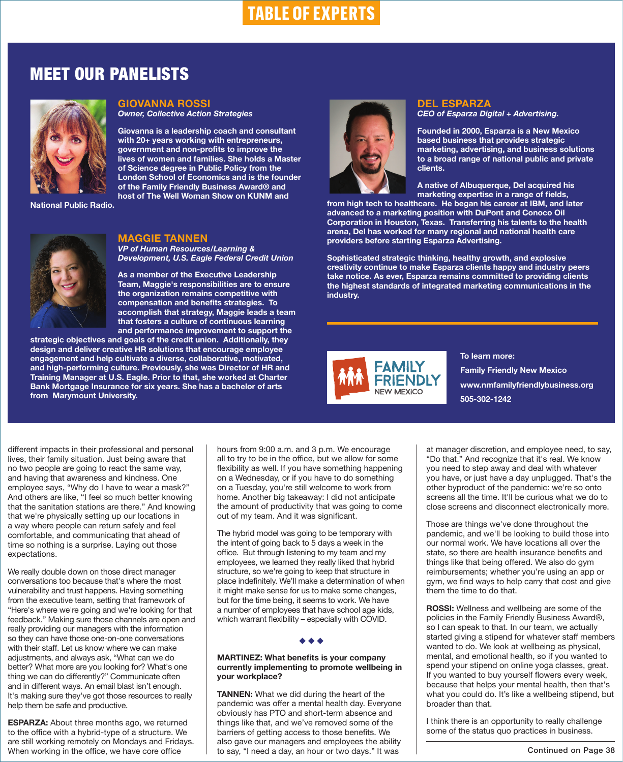# MEET OUR PANELISTS



# **GIOVANNA ROSSI**

*Owner, Collective Action Strategies*

**Giovanna is a leadership coach and consultant with 20+ years working with entrepreneurs, government and non-profits to improve the lives of women and families. She holds a Master of Science degree in Public Policy from the London School of Economics and is the founder of the Family Friendly Business Award® and host of The Well Woman Show on KUNM and** 

**National Public Radio.**



# **MAGGIE TANNEN**

*VP of Human Resources/Learning & Development, U.S. Eagle Federal Credit Union*

**As a member of the Executive Leadership Team, Maggie's responsibilities are to ensure the organization remains competitive with compensation and benefits strategies. To accomplish that strategy, Maggie leads a team that fosters a culture of continuous learning and performance improvement to support the** 

**strategic objectives and goals of the credit union. Additionally, they design and deliver creative HR solutions that encourage employee engagement and help cultivate a diverse, collaborative, motivated, and high-performing culture. Previously, she was Director of HR and Training Manager at U.S. Eagle. Prior to that, she worked at Charter Bank Mortgage Insurance for six years. She has a bachelor of arts from Marymount University.** 



# **DEL ESPARZA** *CEO of Esparza Digital + Advertising.*

**Founded in 2000, Esparza is a New Mexico based business that provides strategic marketing, advertising, and business solutions to a broad range of national public and private clients.** 

**A native of Albuquerque, Del acquired his marketing expertise in a range of fields,** 

**from high tech to healthcare. He began his career at IBM, and later advanced to a marketing position with DuPont and Conoco Oil Corporation in Houston, Texas. Transferring his talents to the health arena, Del has worked for many regional and national health care providers before starting Esparza Advertising.**

**Sophisticated strategic thinking, healthy growth, and explosive creativity continue to make Esparza clients happy and industry peers take notice. As ever, Esparza remains committed to providing clients the highest standards of integrated marketing communications in the industry.** 



**To learn more: Family Friendly New Mexico www.nmfamilyfriendlybusiness.org 505-302-1242**

different impacts in their professional and personal lives, their family situation. Just being aware that no two people are going to react the same way, and having that awareness and kindness. One employee says, "Why do I have to wear a mask?" And others are like, "I feel so much better knowing that the sanitation stations are there." And knowing that we're physically setting up our locations in a way where people can return safely and feel comfortable, and communicating that ahead of time so nothing is a surprise. Laying out those expectations.

We really double down on those direct manager conversations too because that's where the most vulnerability and trust happens. Having something from the executive team, setting that framework of "Here's where we're going and we're looking for that feedback." Making sure those channels are open and really providing our managers with the information so they can have those one-on-one conversations with their staff. Let us know where we can make adjustments, and always ask, "What can we do better? What more are you looking for? What's one thing we can do differently?" Communicate often and in different ways. An email blast isn't enough. It's making sure they've got those resources to really help them be safe and productive.

**ESPARZA:** About three months ago, we returned to the office with a hybrid-type of a structure. We are still working remotely on Mondays and Fridays. When working in the office, we have core office

hours from 9:00 a.m. and 3 p.m. We encourage all to try to be in the office, but we allow for some flexibility as well. If you have something happening on a Wednesday, or if you have to do something on a Tuesday, you're still welcome to work from home. Another big takeaway: I did not anticipate the amount of productivity that was going to come out of my team. And it was significant.

The hybrid model was going to be temporary with the intent of going back to 5 days a week in the office. But through listening to my team and my employees, we learned they really liked that hybrid structure, so we're going to keep that structure in place indefinitely. We'll make a determination of when it might make sense for us to make some changes, but for the time being, it seems to work. We have a number of employees that have school age kids, which warrant flexibility – especially with COVID.

# ◆ ◆ ◆

**MARTINEZ: What benefits is your company currently implementing to promote wellbeing in your workplace?**

**TANNEN:** What we did during the heart of the pandemic was offer a mental health day. Everyone obviously has PTO and short-term absence and things like that, and we've removed some of the barriers of getting access to those benefits. We also gave our managers and employees the ability to say, "I need a day, an hour or two days." It was

at manager discretion, and employee need, to say, "Do that." And recognize that it's real. We know you need to step away and deal with whatever you have, or just have a day unplugged. That's the other byproduct of the pandemic: we're so onto screens all the time. It'll be curious what we do to close screens and disconnect electronically more.

Those are things we've done throughout the pandemic, and we'll be looking to build those into our normal work. We have locations all over the state, so there are health insurance benefits and things like that being offered. We also do gym reimbursements; whether you're using an app or gym, we find ways to help carry that cost and give them the time to do that.

**ROSSI:** Wellness and wellbeing are some of the policies in the Family Friendly Business Award®, so I can speak to that. In our team, we actually started giving a stipend for whatever staff members wanted to do. We look at wellbeing as physical, mental, and emotional health, so if you wanted to spend your stipend on online yoga classes, great. If you wanted to buy yourself flowers every week, because that helps your mental health, then that's what you could do. It's like a wellbeing stipend, but broader than that.

I think there is an opportunity to really challenge some of the status quo practices in business.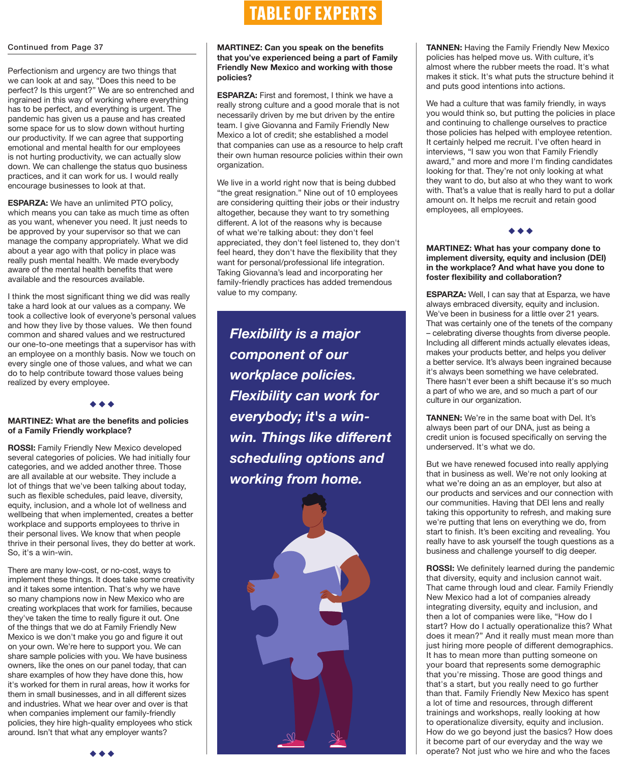## Continued from Page 37

Perfectionism and urgency are two things that we can look at and say, "Does this need to be perfect? Is this urgent?" We are so entrenched and ingrained in this way of working where everything has to be perfect, and everything is urgent. The pandemic has given us a pause and has created some space for us to slow down without hurting our productivity. If we can agree that supporting emotional and mental health for our employees is not hurting productivity, we can actually slow down. We can challenge the status quo business practices, and it can work for us. I would really encourage businesses to look at that.

**ESPARZA:** We have an unlimited PTO policy, which means you can take as much time as often as you want, whenever you need. It just needs to be approved by your supervisor so that we can manage the company appropriately. What we did about a year ago with that policy in place was really push mental health. We made everybody aware of the mental health benefits that were available and the resources available.

I think the most significant thing we did was really take a hard look at our values as a company. We took a collective look of everyone's personal values and how they live by those values. We then found common and shared values and we restructured our one-to-one meetings that a supervisor has with an employee on a monthly basis. Now we touch on every single one of those values, and what we can do to help contribute toward those values being realized by every employee.

◆ ◆ ◆

# **MARTINEZ: What are the benefits and policies of a Family Friendly workplace?**

**ROSSI:** Family Friendly New Mexico developed several categories of policies. We had initially four categories, and we added another three. Those are all available at our website. They include a lot of things that we've been talking about today, such as flexible schedules, paid leave, diversity, equity, inclusion, and a whole lot of wellness and wellbeing that when implemented, creates a better workplace and supports employees to thrive in their personal lives. We know that when people thrive in their personal lives, they do better at work. So, it's a win-win.

There are many low-cost, or no-cost, ways to implement these things. It does take some creativity and it takes some intention. That's why we have so many champions now in New Mexico who are creating workplaces that work for families, because they've taken the time to really figure it out. One of the things that we do at Family Friendly New Mexico is we don't make you go and figure it out on your own. We're here to support you. We can share sample policies with you. We have business owners, like the ones on our panel today, that can share examples of how they have done this, how it's worked for them in rural areas, how it works for them in small businesses, and in all different sizes and industries. What we hear over and over is that when companies implement our family-friendly policies, they hire high-quality employees who stick around. Isn't that what any employer wants?

# **TABLE OF EXPERTS**

# **MARTINEZ: Can you speak on the benefits that you've experienced being a part of Family Friendly New Mexico and working with those policies?**

**ESPARZA:** First and foremost, I think we have a really strong culture and a good morale that is not necessarily driven by me but driven by the entire team. I give Giovanna and Family Friendly New Mexico a lot of credit; she established a model that companies can use as a resource to help craft their own human resource policies within their own organization.

We live in a world right now that is being dubbed "the great resignation." Nine out of 10 employees are considering quitting their jobs or their industry altogether, because they want to try something different. A lot of the reasons why is because of what we're talking about: they don't feel appreciated, they don't feel listened to, they don't feel heard, they don't have the flexibility that they want for personal/professional life integration. Taking Giovanna's lead and incorporating her family-friendly practices has added tremendous value to my company.

*Flexibility is a major component of our workplace policies. Flexibility can work for everybody; it's a winwin. Things like different scheduling options and working from home.*



**TANNEN:** Having the Family Friendly New Mexico policies has helped move us. With culture, it's almost where the rubber meets the road. It's what makes it stick. It's what puts the structure behind it and puts good intentions into actions.

We had a culture that was family friendly, in ways you would think so, but putting the policies in place and continuing to challenge ourselves to practice those policies has helped with employee retention. It certainly helped me recruit. I've often heard in interviews, "I saw you won that Family Friendly award," and more and more I'm finding candidates looking for that. They're not only looking at what they want to do, but also at who they want to work with. That's a value that is really hard to put a dollar amount on. It helps me recruit and retain good employees, all employees.

◆ ◆ ◆

## **MARTINEZ: What has your company done to implement diversity, equity and inclusion (DEI) in the workplace? And what have you done to foster flexibility and collaboration?**

**ESPARZA:** Well, I can say that at Esparza, we have always embraced diversity, equity and inclusion. We've been in business for a little over 21 years. That was certainly one of the tenets of the company – celebrating diverse thoughts from diverse people. Including all different minds actually elevates ideas, makes your products better, and helps you deliver a better service. It's always been ingrained because it's always been something we have celebrated. There hasn't ever been a shift because it's so much a part of who we are, and so much a part of our culture in our organization.

**TANNEN:** We're in the same boat with Del. It's always been part of our DNA, just as being a credit union is focused specifically on serving the underserved. It's what we do.

But we have renewed focused into really applying that in business as well. We're not only looking at what we're doing an as an employer, but also at our products and services and our connection with our communities. Having that DEI lens and really taking this opportunity to refresh, and making sure we're putting that lens on everything we do, from start to finish. It's been exciting and revealing. You really have to ask yourself the tough questions as a business and challenge yourself to dig deeper.

**ROSSI:** We definitely learned during the pandemic that diversity, equity and inclusion cannot wait. That came through loud and clear. Family Friendly New Mexico had a lot of companies already integrating diversity, equity and inclusion, and then a lot of companies were like, "How do I start? How do I actually operationalize this? What does it mean?" And it really must mean more than just hiring more people of different demographics. It has to mean more than putting someone on your board that represents some demographic that you're missing. Those are good things and that's a start, but you really need to go further than that. Family Friendly New Mexico has spent a lot of time and resources, through different trainings and workshops, really looking at how to operationalize diversity, equity and inclusion. How do we go beyond just the basics? How does it become part of our everyday and the way we operate? Not just who we hire and who the faces